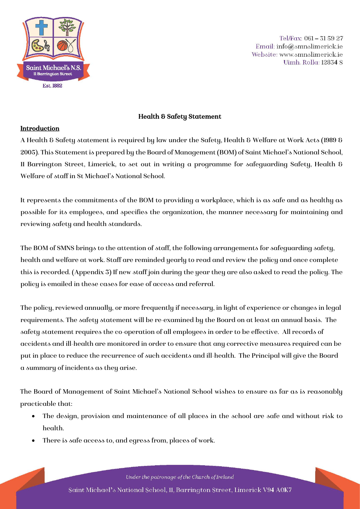

Tel/Fax: 061-315927 Email: info@smnslimerick.ie Website: www.smnslimerick.ie Uimh. Rolla: 12834 S

# Health & Safety Statement

### Introduction

A Health & Safety statement is required by law under the Safety, Health & Welfare at Work Acts (1989 & 2005). This Statement is prepared by the Board of Management (BOM) of Saint Michael's National School, 11 Barrington Street, Limerick, to set out in writing a programme for safeguarding Safety, Health & Welfare of staff in St Michael's National School.

It represents the commitments of the BOM to providing a workplace, which is as safe and as healthy as possible for its employees, and specifies the organization, the manner necessary for maintaining and reviewing safety and health standards.

The BOM of SMNS brings to the attention of staff, the following arrangements for safeguarding safety, health and welfare at work. Staff are reminded yearly to read and review the policy and once complete this is recorded. (Appendix 3) If new staff join during the year they are also asked to read the policy. The policy is emailed in these cases for ease of access and referral.

The policy, reviewed annually, or more frequently if necessary, in light of experience or changes in legal requirements. The safety statement will be re-examined by the Board on at least an annual basis. The safety statement requires the co-operation of all employees in order to be effective. All records of accidents and ill-health are monitored in order to ensure that any corrective measures required can be put in place to reduce the recurrence of such accidents and ill-health. The Principal will give the Board a summary of incidents as they arise.

The Board of Management of Saint Michael's National School wishes to ensure as far as is reasonably practicable that:

- The design, provision and maintenance of all places in the school are safe and without risk to health.
- There is safe access to, and egress from, places of work.

Under the patronage of the Church of Ireland Saint Michael's National School, 11, Barrington Street, Limerick V94 A0K7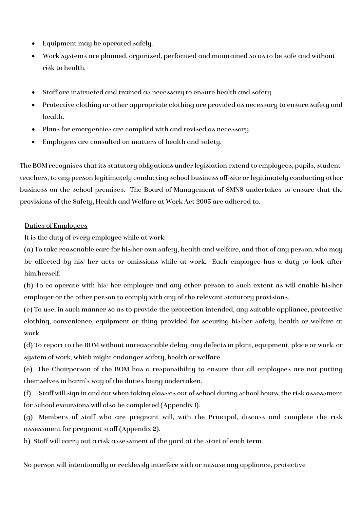- Equipment may be operated safely.
- Work systems are planned, organized, performed and maintained so as to be safe and without risk to health.
- Staff are instructed and trained as necessary to ensure health and safety.
- Protective clothing or other appropriate clothing are provided as necessary to ensure safety and health.
- Plans for emergencies are complied with and revised as necessary.
- Employees are consulted on matters of health and safety.

The BOM recognises that its statutory obligations under legislation extend to employees, pupils, studentteachers, to any person legitimately conducting school business off-site or legitimately conducting other business on the school premises. The Board of Management of SMNS undertakes to ensure that the provisions of the Safety, Health and Welfare at Work Act 2005 are adhered to.

# Duties of Employees

It is the duty of every employee while at work:

(a) To take reasonable care for his/her own safety, health and welfare, and that of any person, who may be affected by his/ her acts or omissions while at work. Each employee has a duty to look after him/herself.

(b) To co-operate with his/ her employer and any other person to such extent as will enable his/her employer or the other person to comply with any of the relevant statutory provisions.

(c) To use, in such manner so as to provide the protection intended, any suitable appliance, protective clothing, convenience, equipment or thing provided for securing his/her safety, health or welfare at work.

(d) To report to the BOM without unreasonable delay, any defects in plant, equipment, place or work, or system of work, which might endanger safety, health or welfare.

(e) The Chairperson of the BOM has a responsibility to ensure that all employees are not putting themselves in harm's way of the duties being undertaken.

(f) Staff will sign in and out when taking class/es out of school during school hours; the risk assessment for school excursions will also be completed (Appendix 1).

(g) Members of staff who are pregnant will, with the Principal, discuss and complete the risk assessment for pregnant staff (Appendix 2).

h) Staff will carry out a risk assessment of the yard at the start of each term.

No person will intentionally or recklessly interfere with or misuse any appliance, protective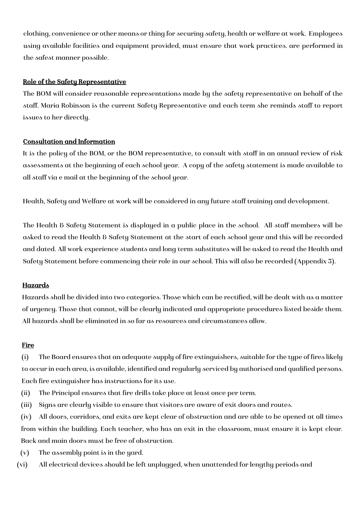clothing, convenience or other means or thing for securing safety, health or welfare at work. Employees using available facilities and equipment provided, must ensure that work practices. are performed in the safest manner possible.

### Role of the Safety Representative

The BOM will consider reasonable representations made by the safety representative on behalf of the staff. Maria Robinson is the current Safety Representative and each term she reminds staff to report issues to her directly.

### Consultation and Information

It is the policy of the BOM, or the BOM representative, to consult with staff in an annual review of risk assessments at the beginning of each school year. A copy of the safety statement is made available to all staff via e mail at the beginning of the school year.

Health, Safety and Welfare at work will be considered in any future staff training and development.

The Health & Safety Statement is displayed in a public place in the school. All staff members will be asked to read the Health & Safety Statement at the start of each school year and this will be recorded and dated. All work experience students and long term substitutes will be asked to read the Health and Safety Statement before commencing their role in our school. This will also be recorded (Appendix 3).

### Hazards

Hazards shall be divided into two categories. Those which can be rectified, will be dealt with as a matter of urgency. Those that cannot, will be clearly indicated and appropriate procedures listed beside them. All hazards shall be eliminated in so far as resources and circumstances allow.

### **Fire**

(i) The Board ensures that an adequate supply of fire extinguishers, suitable for the type of fires likely to occur in each area, is available, identified and regularly serviced by authorised and qualified persons. Each fire extinguisher has instructions for its use.

- (ii) The Principal ensures that fire drills take place at least once per term.
- (iii) Signs are clearly visible to ensure that visitors are aware of exit doors and routes.

(iv) All doors, corridors, and exits are kept clear of obstruction and are able to be opened at all times from within the building. Each teacher, who has an exit in the classroom, must ensure it is kept clear. Back and main doors must be free of obstruction.

- (v) The assembly point is in the yard.
- (vi) All electrical devices should be left unplugged, when unattended for lengthy periods and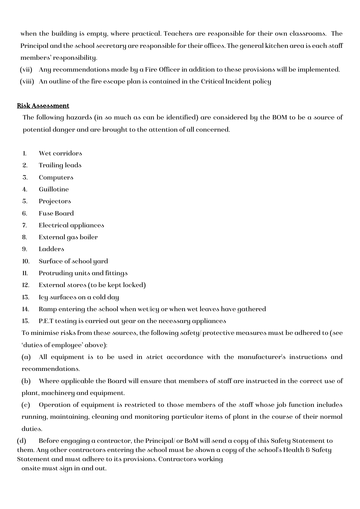when the building is empty, where practical. Teachers are responsible for their own classrooms. The Principal and the school secretary are responsible for their offices. The general kitchen area is each staff members' responsibility.

- (vii) Any recommendations made by a Fire Officer in addition to these provisions will be implemented.
- (viii) An outline of the fire escape plan is contained in the Critical Incident policy

# Risk Assessment

The following hazards (in so much as can be identified) are considered by the BOM to be a source of potential danger and are brought to the attention of all concerned.

- 1. Wet corridors
- 2. Trailing leads
- 3. Computers
- 4. Guillotine
- 5. Projectors
- 6. Fuse Board
- 7. Electrical appliances
- 8. External gas boiler
- 9. Ladders
- 10. Surface of school yard
- 11. Protruding units and fittings
- 12. External stores (to be kept locked)
- 13. Icy surfaces on a cold day
- 14. Ramp entering the school when wet/icy or when wet leaves have gathered
- 15. P.E.T testing is carried out year on the necessary appliances

To minimise risks from these sources, the following safety/ protective measures must be adhered to (see 'duties of employee' above):

(a) All equipment is to be used in strict accordance with the manufacturer's instructions and recommendations.

(b) Where applicable the Board will ensure that members of staff are instructed in the correct use of plant, machinery and equipment.

(c) Operation of equipment is restricted to those members of the staff whose job function includes running, maintaining, cleaning and monitoring particular items of plant in the course of their normal duties.

(d) Before engaging a contractor, the Principal/ or BoM will send a copy of this Safety Statement to them. Any other contractors entering the school must be shown a copy of the school's Health & Safety Statement and must adhere to its provisions. Contractors working onsite must sign in and out.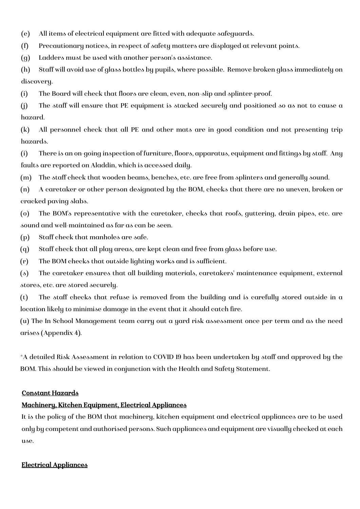(e) All items of electrical equipment are fitted with adequate safeguards.

(f) Precautionary notices, in respect of safety matters are displayed at relevant points.

(g) Ladders must be used with another person's assistance.

(h) Staff will avoid use of glass bottles by pupils, where possible. Remove broken glass immediately on discovery.

(i) The Board will check that floors are clean, even, non-slip and splinter-proof.

(j) The staff will ensure that PE equipment is stacked securely and positioned so as not to cause a hazard.

(k) All personnel check that all PE and other mats are in good condition and not presenting trip hazards.

(i) There is an on-going inspection of furniture, floors, apparatus, equipment and fittings by staff. Any faults are reported on Aladdin, which is accessed daily.

(m) The staff check that wooden beams, benches, etc. are free from splinters and generally sound.

(n) A caretaker or other person designated by the BOM, checks that there are no uneven, broken or cracked paving slabs.

(o) The BOM's representative with the caretaker, checks that roofs, guttering, drain pipes, etc. are sound and well-maintained as far as can be seen.

(p) Staff check that manholes are safe.

(q) Staff check that all play areas, are kept clean and free from glass before use.

(r) The BOM checks that outside lighting works and is sufficient.

(s) The caretaker ensures that all building materials, caretakers' maintenance equipment, external stores, etc. are stored securely.

(t) The staff checks that refuse is removed from the building and is carefully stored outside in a location likely to minimise damage in the event that it should catch fire.

(u) The In School Management team carry out a yard risk assessment once per term and as the need arises (Appendix 4).

\*A detailed Risk Assessment in relation to COVID 19 has been undertaken by staff and approved by the BOM. This should be viewed in conjunction with the Health and Safety Statement.

### Constant Hazards

# Machinery, Kitchen Equipment, Electrical Appliances

It is the policy of the BOM that machinery, kitchen equipment and electrical appliances are to be used only by competent and authorised persons. Such appliances and equipment are visually checked at each use.

### Electrical Appliances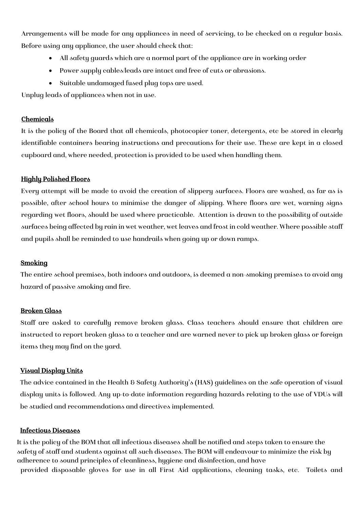Arrangements will be made for any appliances in need of servicing, to be checked on a regular basis. Before using any appliance, the user should check that:

- All safety guards which are a normal part of the appliance are in working order
- Power supply cables/leads are intact and free of cuts or abrasions.
- Suitable undamaged fused plug tops are used.

Unplug leads of appliances when not in use.

#### Chemicals

It is the policy of the Board that all chemicals, photocopier toner, detergents, etc be stored in clearly identifiable containers bearing instructions and precautions for their use. These are kept in a closed cupboard and, where needed, protection is provided to be used when handling them.

#### Highly Polished Floors

Every attempt will be made to avoid the creation of slippery surfaces. Floors are washed, as far as is possible, after school hours to minimise the danger of slipping. Where floors are wet, warning signs regarding wet floors, should be used where practicable. Attention is drawn to the possibility of outside surfaces being affected by rain in wet weather, wet leaves and frost in cold weather. Where possible staff and pupils shall be reminded to use handrails when going up or down ramps.

#### Smoking

The entire school premises, both indoors and outdoors, is deemed a non-smoking premises to avoid any hazard of passive smoking and fire.

#### Broken Glass

Staff are asked to carefully remove broken glass. Class teachers should ensure that children are instructed to report broken glass to a teacher and are warned never to pick up broken glass or foreign items they may find on the yard.

### Visual Display Units

The advice contained in the Health & Safety Authority's (HAS) guidelines on the safe operation of visual display units is followed. Any up-to-date information regarding hazards relating to the use of VDUs will be studied and recommendations and directives implemented.

#### Infectious Diseases

It is the policy of the BOM that all infectious diseases shall be notified and steps taken to ensure the safety of staff and students against all such diseases. The BOM will endeavour to minimize the risk by adherence to sound principles of cleanliness, hygiene and disinfection, and have provided disposable gloves for use in all First Aid applications, cleaning tasks, etc. Toilets and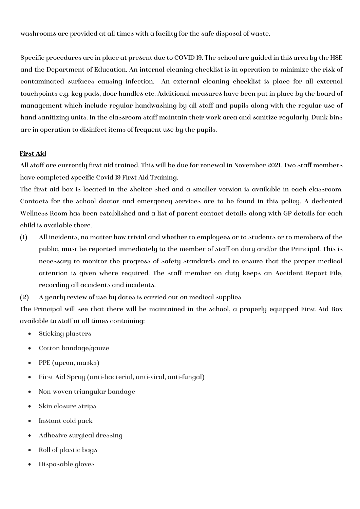washrooms are provided at all times with a facility for the safe disposal of waste.

Specific procedures are in place at present due to COVID 19. The school are guided in this area by the HSE and the Department of Education. An internal cleaning checklist is in operation to minimize the risk of contaminated surfaces causing infection. An external cleaning checklist is place for all external touchpoints e.g. key pads, door handles etc. Additional measures have been put in place by the board of management which include regular handwashing by all staff and pupils along with the regular use of hand sanitizing units. In the classroom staff maintain their work area and sanitize regularly. Dunk bins are in operation to disinfect items of frequent use by the pupils.

#### First Aid

All staff are currently first aid trained. This will be due for renewal in November 2021. Two staff members have completed specific Covid 19 First Aid Training.

The first aid box is located in the shelter shed and a smaller version is available in each classroom. Contacts for the school doctor and emergency services are to be found in this policy. A dedicated Wellness Room has been established and a list of parent contact details along with GP details for each child is available there.

- (1) All incidents, no matter how trivial and whether to employees or to students or to members of the public, must be reported immediately to the member of staff on duty and/or the Principal. This is necessary to monitor the progress of safety standards and to ensure that the proper medical attention is given where required. The staff member on duty keeps an Accident Report File, recording all accidents and incidents.
- (2) A yearly review of use by dates is carried out on medical supplies

The Principal will see that there will be maintained in the school, a properly equipped First Aid Box available to staff at all times containing:

- Sticking plasters
- Cotton bandage/gauze
- PPE (apron, masks)
- First Aid Spray (anti-bacterial, anti-viral, anti-fungal)
- Non-woven triangular bandage
- Skin closure strips
- Instant cold pack
- Adhesive surgical dressing
- Roll of plastic bags
- Disposable gloves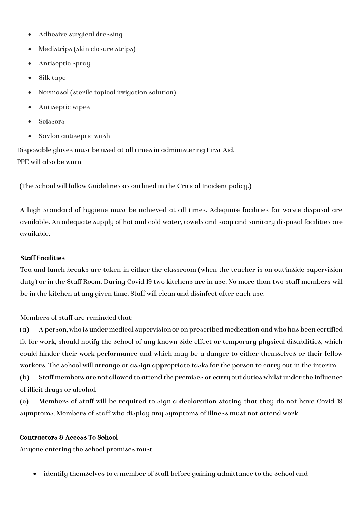- Adhesive surgical dressing
- Medistrips (skin closure strips)
- Antiseptic spray
- Silk tape
- Normasol (sterile topical irrigation solution)
- Antiseptic wipes
- Scissors
- Savlon antiseptic wash

Disposable gloves must be used at all times in administering First Aid. PPE will also be worn.

(The school will follow Guidelines as outlined in the Critical Incident policy.)

A high standard of hygiene must be achieved at all times. Adequate facilities for waste disposal are available. An adequate supply of hot and cold water, towels and soap and sanitary disposal facilities are available.

### Staff Facilities

Tea and lunch breaks are taken in either the classroom (when the teacher is on out/inside supervision duty) or in the Staff Room. During Covid 19 two kitchens are in use. No more than two staff members will be in the kitchen at any given time. Staff will clean and disinfect after each use.

Members of staff are reminded that:

(a) A person, who is under medical supervision or on prescribed medication and who has been certified fit for work, should notify the school of any known side effect or temporary physical disabilities, which could hinder their work performance and which may be a danger to either themselves or their fellow workers. The school will arrange or assign appropriate tasks for the person to carry out in the interim.

(b) Staff members are not allowed to attend the premises or carry out duties whilst under the influence of illicit drugs or alcohol.

(c) Members of staff will be required to sign a declaration stating that they do not have Covid-19 symptoms. Members of staff who display any symptoms of illness must not attend work.

### Contractors & Access To School

Anyone entering the school premises must:

• identify themselves to a member of staff before gaining admittance to the school and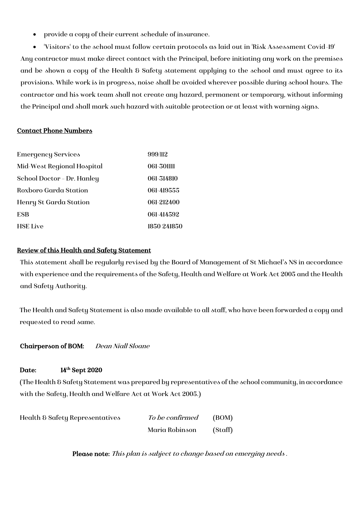• provide a copy of their current schedule of insurance.

• 'Visitors' to the school must follow certain protocols as laid out in 'Risk Assessment Covid-19' Any contractor must make direct contact with the Principal, before initiating any work on the premises and be shown a copy of the Health & Safety statement applying to the school and must agree to its provisions. While work is in progress, noise shall be avoided wherever possible during school hours. The contractor and his work team shall not create any hazard, permanent or temporary, without informing the Principal and shall mark such hazard with suitable protection or at least with warning signs.

### Contact Phone Numbers

| <b>Emergency Services</b>  | 999/112     |
|----------------------------|-------------|
| Mid-West Regional Hospital | 061-301111  |
| School Doctor - Dr. Hanley | 061-314810  |
| Roxboro Garda Station      | 061-419555  |
| Henry St Garda Station     | 061-212400  |
| <b>ESB</b>                 | 061-414592  |
| <b>HSE</b> Live            | 1850 241850 |

### Review of this Health and Safety Statement

This statement shall be regularly revised by the Board of Management of St Michael's NS in accordance with experience and the requirements of the Safety, Health and Welfare at Work Act 2005 and the Health and Safety Authority.

The Health and Safety Statement is also made available to all staff, who have been forwarded a copy and requested to read same.

Chairperson of BOM: Dean Niall Sloane

#### Date: 14<sup>th</sup> Sept 2020

(The Health & Safety Statement was prepared by representatives of the school community, in accordance with the Safety, Health and Welfare Act at Work Act 2005.)

| Health & Safety Representatives | <i>To be confirmed</i> | (BOM)   |
|---------------------------------|------------------------|---------|
|                                 | Maria Robinson         | (Staff) |

Please note: This plan is subject to change based on emerging needs.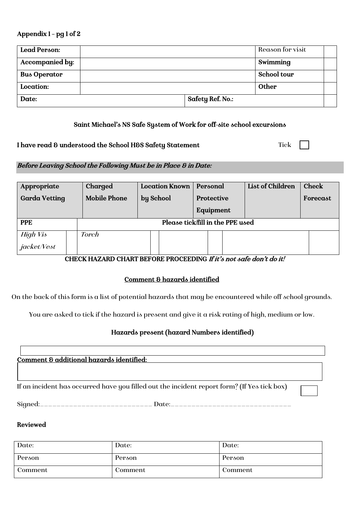#### Appendix 1 – pg 1 of 2

| Lead Person:        |                         | Reason for visit |  |
|---------------------|-------------------------|------------------|--|
| Accompanied by:     |                         | Swimming         |  |
| <b>Bus Operator</b> |                         | School tour      |  |
| Location:           |                         | Other            |  |
| Date:               | <b>Safety Ref. No.:</b> |                  |  |

#### Saint Michael's NS Safe System of Work for off-site school excursions

#### I have read & understood the School H&S Safety Statement Tick

### Before Leaving School the Following Must be in Place & in Date:

| Appropriate          | Charged                          | <b>Location Known</b><br>Personal |            | List of Children | <b>Check</b> |  |
|----------------------|----------------------------------|-----------------------------------|------------|------------------|--------------|--|
| <b>Garda Vetting</b> | <b>Mobile Phone</b>              | by School                         | Protective |                  | Forecast     |  |
|                      |                                  |                                   | Equipment  |                  |              |  |
| <b>PPE</b>           | Please tick/fill in the PPE used |                                   |            |                  |              |  |
| <b>High Vis</b>      | <b>Torch</b>                     |                                   |            |                  |              |  |
| jacket/Vest          |                                  |                                   |            |                  |              |  |

#### CHECK HAZARD CHART BEFORE PROCEEDING If it's not safe don't do it!

### Comment & hazards identified

On the back of this form is a list of potential hazards that may be encountered while off school grounds.

You are asked to tick if the hazard is present and give it a risk rating of high, medium or low.

### Hazards present (hazard Numbers identified)

Comment & additional hazards identified:

If an incident has occurred have you filled out the incident report form? (If Yes tick box)

 $Signal:$ 

#### Reviewed

l

| Date:   | Date:   | Date:   |
|---------|---------|---------|
| Person  | Person  | Person  |
| Comment | Comment | Comment |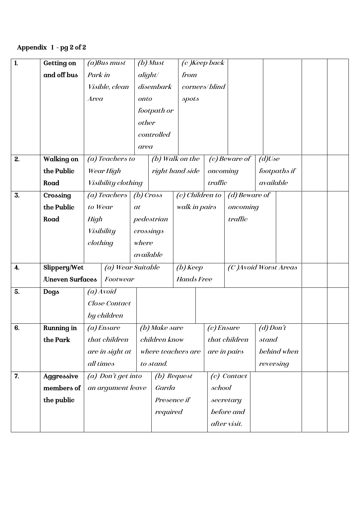# Appendix 1 - pg 2 of 2

| 1.                 | <b>Getting on</b> |                   | (a)Bus must         | $(b)$ Must        |                   |                    | (c) Keep back   |                        |             |              |  |
|--------------------|-------------------|-------------------|---------------------|-------------------|-------------------|--------------------|-----------------|------------------------|-------------|--------------|--|
|                    | and off bus       | Park in           |                     | alight/           |                   | from               |                 |                        |             |              |  |
|                    |                   |                   | Visible, clean      |                   | disembark         |                    | corners/blind   |                        |             |              |  |
|                    |                   | Area              |                     | onto              |                   | spots              |                 |                        |             |              |  |
|                    |                   |                   |                     |                   | footpath or       |                    |                 |                        |             |              |  |
|                    |                   |                   |                     | other             |                   |                    |                 |                        |             |              |  |
|                    |                   |                   |                     |                   | controlled        |                    |                 |                        |             |              |  |
|                    |                   |                   |                     | area              |                   |                    |                 |                        |             |              |  |
| 2.                 | <b>Walking on</b> |                   | (a) Teachers to     |                   |                   | (b) Walk on the    |                 | $(c)$ Beware of        | $(d)$ Use   |              |  |
|                    | the Public        |                   | Wear High           |                   |                   | right hand side    |                 | oncoming               |             | footpaths if |  |
|                    | Road              |                   | Visibility clothing |                   |                   |                    | traffic         |                        | available   |              |  |
| 3.                 | Crossing          |                   | (a) Teachers        | $(b)$ Cross       |                   |                    | (c) Children to | (d) Beware of          |             |              |  |
|                    | the Public        | to Wear           |                     | at                |                   | walk in pairs      |                 | oncoming               |             |              |  |
|                    | Road              | High              |                     |                   | pedestrian        |                    |                 | traffic                |             |              |  |
|                    |                   |                   | Visibility          | crossings         |                   |                    |                 |                        |             |              |  |
|                    |                   | clothing          |                     | where             |                   |                    |                 |                        |             |              |  |
|                    |                   |                   |                     | available         |                   |                    |                 |                        |             |              |  |
| $\boldsymbol{4}$ . | Slippery/Wet      |                   |                     | (a) Wear Suitable |                   | $(b)$ Keep         |                 | (C) Avoid Worst Areas  |             |              |  |
|                    | Uneven Surfaces   |                   | Footwear            |                   | <b>Hands Free</b> |                    |                 |                        |             |              |  |
| 5.                 | Dogs              |                   | $(a)$ Avoid         |                   |                   |                    |                 |                        |             |              |  |
|                    |                   |                   | Close Contact       |                   |                   |                    |                 |                        |             |              |  |
|                    |                   |                   | by children         |                   |                   |                    |                 |                        |             |              |  |
| 6.                 | <b>Running in</b> |                   | $(a)$ <i>Ensure</i> |                   | (b) Make sure     |                    |                 | $\big( c \big)$ Ensure | $(d)$ Don't |              |  |
|                    | the Park          |                   | that children       |                   | children know     |                    |                 | that children          | stand       |              |  |
|                    |                   |                   | are in sight at     |                   |                   | where teachers are |                 | are in pairs           |             | behind when  |  |
|                    |                   |                   | all times           |                   | to stand.         |                    |                 |                        |             | reversing    |  |
| 7.                 | Aggressive        |                   | (a) Don't get into  |                   |                   | (b) Request        |                 | (c) Contact            |             |              |  |
|                    | members of        | an argument leave |                     | Garda             |                   | school             |                 |                        |             |              |  |
|                    | the public        |                   |                     |                   | Presence if       |                    |                 | secretary              |             |              |  |
|                    |                   |                   |                     |                   | required          |                    |                 | before and             |             |              |  |
|                    |                   |                   |                     |                   |                   |                    |                 | after visit.           |             |              |  |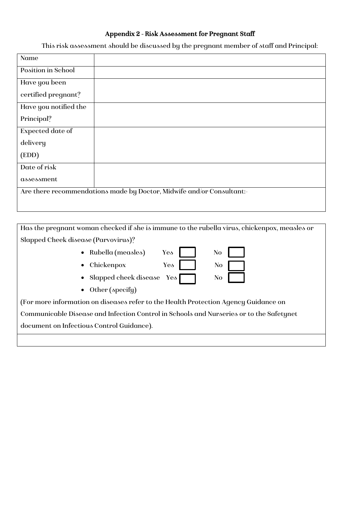# Appendix 2 - Risk Assessment for Pregnant Staff

This risk assessment should be discussed by the pregnant member of staff and Principal:

| Name                  |                                                                       |
|-----------------------|-----------------------------------------------------------------------|
| Position in School    |                                                                       |
| Have you been         |                                                                       |
| certified pregnant?   |                                                                       |
| Have you notified the |                                                                       |
| Principal?            |                                                                       |
| Expected date of      |                                                                       |
| delivery              |                                                                       |
| (EDD)                 |                                                                       |
| Date of risk          |                                                                       |
| assessment            |                                                                       |
|                       | Are there recommendations made by Doctor, Midwife and/or Consultant:- |
|                       |                                                                       |

Has the pregnant woman checked if she is immune to the rubella virus, chickenpox, measles or Slapped Cheek disease (Parvovirus)? • Rubella (measles) Yes No • Chickenpox Yes No • Slapped cheek disease Yes No • Other (specify) (For more information on diseases refer to the Health Protection Agency Guidance on Communicable Disease and Infection Control in Schools and Nurseries or to the Safetynet

document on Infectious Control Guidance).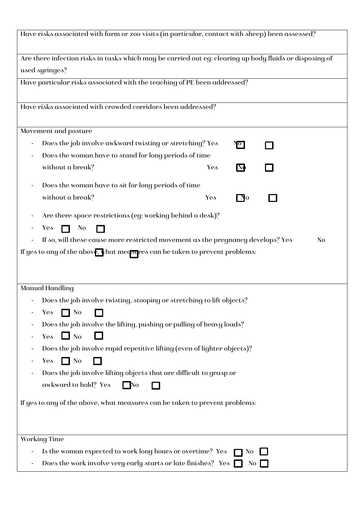| Have risks associated with farm or zoo visits (in particular, contact with sheep) been assessed?                          |                   |                |
|---------------------------------------------------------------------------------------------------------------------------|-------------------|----------------|
| Are there infection risks in tasks which may be carried out eg: clearing up body fluids or disposing of<br>used syringes? |                   |                |
| Have particular risks associated with the teaching of PE been addressed?                                                  |                   |                |
| Have risks associated with crowded corridors been addressed?                                                              |                   |                |
| Movement and posture                                                                                                      |                   |                |
| Does the job involve awkward twisting or stretching? Yes                                                                  | No                |                |
| Does the woman have to stand for long periods of time                                                                     |                   |                |
| without a break?                                                                                                          | $N_{\Phi}$<br>Yes |                |
| Does the woman have to sit for long periods of time                                                                       |                   |                |
| without a break?                                                                                                          | $\Box$ o<br>Yes   |                |
| Are there space restrictions (eg: working behind a desk)?<br>N <sub>o</sub><br>Yes<br>$\mathbf{I}$                        |                   |                |
| If so, will these cause more restricted movement as the pregnancy develops? Yes                                           |                   | N <sub>o</sub> |
| If yes to any of the above, what measures can be taken to prevent problems:                                               |                   |                |
|                                                                                                                           |                   |                |
| Manual Handling                                                                                                           |                   |                |
| Does the job involve twisting, stooping or stretching to lift objects?                                                    |                   |                |
| $\Box$ No<br>Yes                                                                                                          |                   |                |
| Does the job involve the lifting, pushing or pulling of heavy loads?                                                      |                   |                |
| $\Box$ No<br>Yes                                                                                                          |                   |                |
| Does the job involve rapid repetitive lifting (even of lighter objects)?                                                  |                   |                |
| $\Box$ No<br>Yes                                                                                                          |                   |                |
| Does the job involve lifting objects that are difficult to grasp or                                                       |                   |                |
| awkward to hold? Yes<br>l No                                                                                              |                   |                |
| If yes to any of the above, what measures can be taken to prevent problems:                                               |                   |                |
| <b>Working Time</b>                                                                                                       |                   |                |
| Is the woman expected to work long hours or overtime? Yes                                                                 | N <sub>0</sub>    |                |
| Does the work involve very early starts or late finishes? Yes $\Box$                                                      |                   | No             |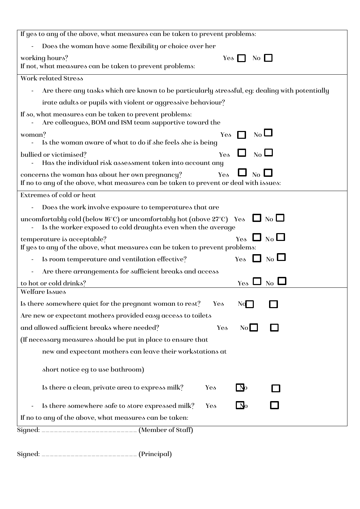| If yes to any of the above, what measures can be taken to prevent problems:                                                                                             |
|-------------------------------------------------------------------------------------------------------------------------------------------------------------------------|
| Does the woman have some flexibility or choice over her                                                                                                                 |
| working hours?<br>$Yes \mid \mid$<br>$\overline{N_{0}}$ $\Box$                                                                                                          |
| If not, what measures can be taken to prevent problems:                                                                                                                 |
| <b>Work-related Stress</b>                                                                                                                                              |
| Are there any tasks which are known to be particularly stressful, eg: dealing with potentially                                                                          |
| irate adults or pupils with violent or aggressive behaviour?                                                                                                            |
| If so, what measures can be taken to prevent problems:<br>Are colleagues, BOM and ISM team supportive toward the                                                        |
| $\overline{\text{No}}$ $\Box$<br>Yes<br>woman?                                                                                                                          |
| Is the woman aware of what to do if she feels she is being                                                                                                              |
| N <sub>0</sub><br>bullied or victimised?<br>Yes<br>Has the individual risk assessment taken into account any                                                            |
| $\overline{N_{0}}$ L<br>Yes<br>concerns the woman has about her own pregnancy?<br>If no to any of the above, what measures can be taken to prevent or deal with issues: |
| Extremes of cold or heat                                                                                                                                                |
| Does the work involve exposure to temperatures that are                                                                                                                 |
| uncomfortably cold (below 16°C) or uncomfortably hot (above 27°C) Yes $\Box$ No $\Box$<br>Is the worker exposed to cold draughts even when the average                  |
| $Y_{es}$ $\Box$ $N_0$ $\Box$<br>temperature is acceptable?<br>If yes to any of the above, what measures can be taken to prevent problems:                               |
| Yes $\Box$ No $\Box$<br>Is room temperature and ventilation effective?                                                                                                  |
| Are there arrangements for sufficient breaks and access                                                                                                                 |
| $Y_{\text{e}}$ $\Box$ N <sub>0</sub> l<br>to hot or cold drinks?                                                                                                        |
| Welfare Issues                                                                                                                                                          |
| Is there somewhere quiet for the pregnant woman to rest?<br>Yes<br>NQ                                                                                                   |
| Are new or expectant mothers provided easy access to toilets                                                                                                            |
| and allowed sufficient breaks where needed?<br>Yes<br>No                                                                                                                |
| (If necessary measures should be put in place to ensure that                                                                                                            |
| new and expectant mothers can leave their workstations at                                                                                                               |
| short notice eg to use bathroom)                                                                                                                                        |
| Is there a clean, private area to express milk?<br>Yes<br>l No                                                                                                          |
| Is there somewhere safe to store expressed milk?<br>$\mathsf{L}$ No<br>Yes<br>$\overline{\phantom{a}}$                                                                  |
| If no to any of the above, what measures can be taken:                                                                                                                  |
| Signed: ____________________________ (Member of Staff)                                                                                                                  |
|                                                                                                                                                                         |

Signed: \_\_\_\_\_\_\_\_\_\_\_\_\_\_\_\_\_\_\_\_\_\_\_ (Principal)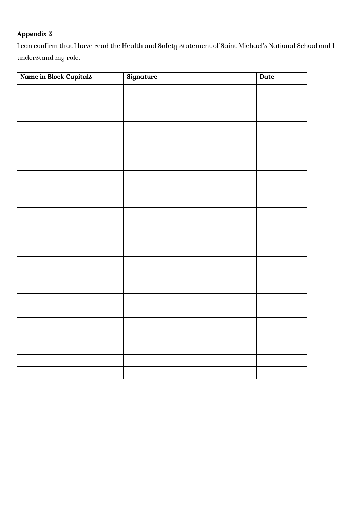# Appendix 3

I can confirm that I have read the Health and Safety statement of Saint Michael's National School and I understand my role.

| Name in Block Capitals | Signature | Date |
|------------------------|-----------|------|
|                        |           |      |
|                        |           |      |
|                        |           |      |
|                        |           |      |
|                        |           |      |
|                        |           |      |
|                        |           |      |
|                        |           |      |
|                        |           |      |
|                        |           |      |
|                        |           |      |
|                        |           |      |
|                        |           |      |
|                        |           |      |
|                        |           |      |
|                        |           |      |
|                        |           |      |
|                        |           |      |
|                        |           |      |
|                        |           |      |
|                        |           |      |
|                        |           |      |
|                        |           |      |
|                        |           |      |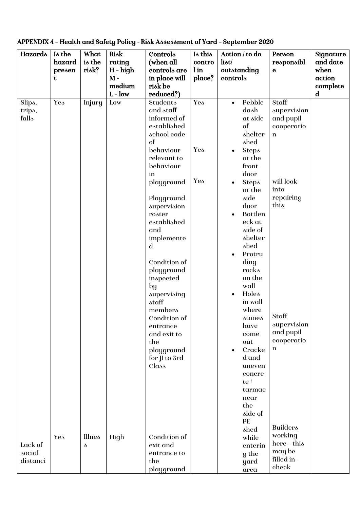| Hazards  | Is the | What   | Risk       | Controls                   | Is this | Action / to do              | Person               | Signature   |
|----------|--------|--------|------------|----------------------------|---------|-----------------------------|----------------------|-------------|
|          | hazard | is the | rating     | (when all                  | contro  | liot/                       | responsibl           | and date    |
|          | presen | risk?  | $H$ – high | controls are               | l in    | outstanding                 | $\mathbf e$          | when        |
|          | t      |        | $M -$      | in place will              | place?  | controls                    |                      | action      |
|          |        |        | medium     | risk be                    |         |                             |                      | complete    |
|          |        |        | $L - low$  | reduced?)                  |         |                             |                      | $\mathbf d$ |
| Slips,   | Yes    | Injury | Low        | Students                   | Yes     | Pebble<br>$\bullet$         | Staff                |             |
| trips,   |        |        |            | and staff                  |         | dash                        | supervision          |             |
| falls    |        |        |            | informed of                |         | at side                     | and pupil            |             |
|          |        |        |            | established<br>school code |         | of<br>shelter               | cooperatio           |             |
|          |        |        |            | of                         |         | shed                        | $\mathbf n$          |             |
|          |        |        |            | behaviour                  | Yes     | <b>Steps</b><br>$\bullet$   |                      |             |
|          |        |        |            | relevant to                |         | at the                      |                      |             |
|          |        |        |            | behaviour                  |         | front                       |                      |             |
|          |        |        |            | in                         |         | door                        |                      |             |
|          |        |        |            | playground                 | Yes     | <b>Steps</b><br>$\bullet$   | will look            |             |
|          |        |        |            |                            |         | at the                      | into                 |             |
|          |        |        |            | Playground                 |         | side                        | repairing            |             |
|          |        |        |            | supervision                |         | door                        | this                 |             |
|          |        |        |            | roster                     |         | <b>Bottlen</b><br>$\bullet$ |                      |             |
|          |        |        |            | established                |         | eck at                      |                      |             |
|          |        |        |            | and                        |         | side of                     |                      |             |
|          |        |        |            | implemente                 |         | shelter                     |                      |             |
|          |        |        |            | $\mathbf d$                |         | shed                        |                      |             |
|          |        |        |            | Condition of               |         | Protru<br>$\bullet$         |                      |             |
|          |        |        |            | playground                 |         | ding<br>rocks               |                      |             |
|          |        |        |            | inspected                  |         | on the                      |                      |             |
|          |        |        |            | $_{\rm by}$                |         | wall                        |                      |             |
|          |        |        |            | supervising                |         | Holes<br>$\bullet$          |                      |             |
|          |        |        |            | staff                      |         | in wall                     |                      |             |
|          |        |        |            | members                    |         | where                       |                      |             |
|          |        |        |            | Condition of               |         | stones                      | $\vert$ Staff        |             |
|          |        |        |            | entrance                   |         | have                        | supervision          |             |
|          |        |        |            | and exit to                |         | come                        | and pupil            |             |
|          |        |        |            | the                        |         | out                         | cooperatio           |             |
|          |        |        |            | playground                 |         | Cracke<br>$\bullet$         | n                    |             |
|          |        |        |            | for JI to 3rd              |         | d and                       |                      |             |
|          |        |        |            | Class                      |         | uneven<br>concre            |                      |             |
|          |        |        |            |                            |         | te/                         |                      |             |
|          |        |        |            |                            |         | tarmac                      |                      |             |
|          |        |        |            |                            |         | near                        |                      |             |
|          |        |        |            |                            |         | the                         |                      |             |
|          |        |        |            |                            |         | side of                     |                      |             |
|          |        |        |            |                            |         | PE                          |                      |             |
|          |        |        |            |                            |         | shed                        | <b>Builders</b>      |             |
|          | Yes    | Illnes | High       | Condition of               |         | while                       | working<br>here-this |             |
| Lack of  |        | s      |            | exit and                   |         | enterin                     | may be               |             |
| social   |        |        |            | entrance to                |         | g the                       | filled in -          |             |
| distanci |        |        |            | the<br>playground          |         | yard                        | check                |             |
|          |        |        |            |                            |         | area                        |                      |             |

APPENDIX 4 – Health and Safety Policy - Risk Assessment of Yard – September 2020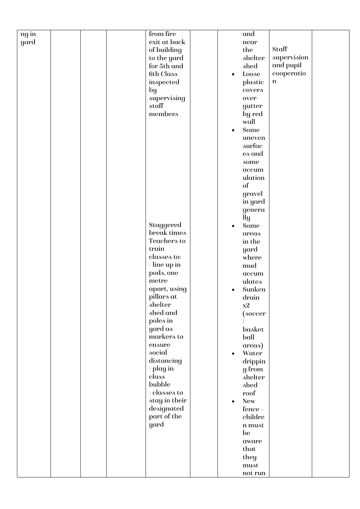| ng in |  | from fire     |           | and        |             |  |
|-------|--|---------------|-----------|------------|-------------|--|
| yard  |  | exit at back  |           | near       |             |  |
|       |  | of building   |           | the        | Staff       |  |
|       |  | to the yard   |           | shelter    | supervision |  |
|       |  | for 5th and   |           | shed       | and pupil   |  |
|       |  | 6th Class     | $\bullet$ | Loose      | cooperatio  |  |
|       |  | inspected     |           | plastic    | $\bf n$     |  |
|       |  |               |           |            |             |  |
|       |  | by            |           | covers     |             |  |
|       |  | supervising   |           | over       |             |  |
|       |  | staff         |           | gutter     |             |  |
|       |  | members       |           | by red     |             |  |
|       |  |               |           | wall       |             |  |
|       |  |               | $\bullet$ | Some       |             |  |
|       |  |               |           | uneven     |             |  |
|       |  |               |           | surfac     |             |  |
|       |  |               |           | es and     |             |  |
|       |  |               |           | some       |             |  |
|       |  |               |           | accum      |             |  |
|       |  |               |           | ulation    |             |  |
|       |  |               |           | of         |             |  |
|       |  |               |           | gravel     |             |  |
|       |  |               |           | in yard    |             |  |
|       |  |               |           | genera     |             |  |
|       |  |               |           | lly        |             |  |
|       |  | Staggered     |           | Some       |             |  |
|       |  | break times   |           | areas      |             |  |
|       |  | Teachers to   |           | in the     |             |  |
|       |  | train         |           |            |             |  |
|       |  |               |           | yard       |             |  |
|       |  | classes to:   |           | where      |             |  |
|       |  | - line up in  |           | mud        |             |  |
|       |  | pods, one     |           | accum      |             |  |
|       |  | metre         |           | ulates     |             |  |
|       |  | apart, using  |           | Sunken     |             |  |
|       |  | pillars at    |           | drain      |             |  |
|       |  | shelter       |           | x2         |             |  |
|       |  | shed and      |           | (soccer    |             |  |
|       |  | poles in      |           |            |             |  |
|       |  | yard as       |           | basket     |             |  |
|       |  | markers to    |           | ball       |             |  |
|       |  | ensure        |           | areas)     |             |  |
|       |  | social        | $\bullet$ | Water      |             |  |
|       |  | distancing    |           | drippin    |             |  |
|       |  | - play in     |           | g from     |             |  |
|       |  | class         |           | shelter    |             |  |
|       |  | bubble        |           | shed       |             |  |
|       |  | - classes to  |           | roof       |             |  |
|       |  | stay in their | $\bullet$ | <b>New</b> |             |  |
|       |  | designated    |           | fence -    |             |  |
|       |  | part of the   |           | childre    |             |  |
|       |  | yard          |           | n must     |             |  |
|       |  |               |           |            |             |  |
|       |  |               |           | be         |             |  |
|       |  |               |           | aware      |             |  |
|       |  |               |           | that       |             |  |
|       |  |               |           | they       |             |  |
|       |  |               |           | must       |             |  |
|       |  |               |           | not run    |             |  |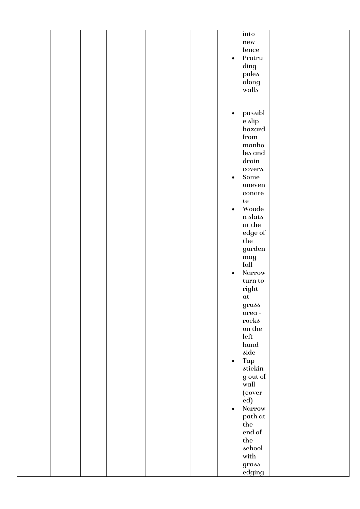|  |  |  |           | into                        |  |
|--|--|--|-----------|-----------------------------|--|
|  |  |  |           | new                         |  |
|  |  |  |           | fence                       |  |
|  |  |  |           |                             |  |
|  |  |  | $\bullet$ | Protru                      |  |
|  |  |  |           | $\rm{ding}$                 |  |
|  |  |  |           | poles                       |  |
|  |  |  |           | along                       |  |
|  |  |  |           |                             |  |
|  |  |  |           | walls                       |  |
|  |  |  |           |                             |  |
|  |  |  |           |                             |  |
|  |  |  | $\bullet$ | possibl                     |  |
|  |  |  |           |                             |  |
|  |  |  |           | e slip                      |  |
|  |  |  |           | hazard                      |  |
|  |  |  |           | ${\rm from}$                |  |
|  |  |  |           | manho                       |  |
|  |  |  |           | les and                     |  |
|  |  |  |           |                             |  |
|  |  |  |           | ${\rm d}r {\rm d}in$        |  |
|  |  |  |           | covers.                     |  |
|  |  |  | $\bullet$ | ${\bf Some}$                |  |
|  |  |  |           | uneven                      |  |
|  |  |  |           |                             |  |
|  |  |  |           | $\operatorname{concre}$     |  |
|  |  |  |           | $\rm{te}$                   |  |
|  |  |  | $\bullet$ | Woode                       |  |
|  |  |  |           | $\mathbf n$ slats           |  |
|  |  |  |           |                             |  |
|  |  |  |           | $\alpha t$ the              |  |
|  |  |  |           | edge of                     |  |
|  |  |  |           | $_{\rm the}$                |  |
|  |  |  |           | $\,$ garden                 |  |
|  |  |  |           |                             |  |
|  |  |  |           | may<br>fall                 |  |
|  |  |  |           |                             |  |
|  |  |  | $\bullet$ | Narrow                      |  |
|  |  |  |           | $\,\rm turn$ to $\,$        |  |
|  |  |  |           | $\operatorname{right}$      |  |
|  |  |  |           |                             |  |
|  |  |  |           | at                          |  |
|  |  |  |           | $gras\delta$                |  |
|  |  |  |           | $\alpha \text{rea}$ +       |  |
|  |  |  |           | rocks                       |  |
|  |  |  |           | on the                      |  |
|  |  |  |           |                             |  |
|  |  |  |           | $\operatorname{\sf left}$ - |  |
|  |  |  |           | hand                        |  |
|  |  |  |           | $\delta$ ide                |  |
|  |  |  | $\bullet$ | Tap                         |  |
|  |  |  |           |                             |  |
|  |  |  |           | stickin                     |  |
|  |  |  |           | g out of                    |  |
|  |  |  |           | wall                        |  |
|  |  |  |           | (cover                      |  |
|  |  |  |           | ed)                         |  |
|  |  |  |           |                             |  |
|  |  |  | $\bullet$ | Narrow                      |  |
|  |  |  |           | path at                     |  |
|  |  |  |           | the                         |  |
|  |  |  |           | end of                      |  |
|  |  |  |           |                             |  |
|  |  |  |           | $_{\rm the}$                |  |
|  |  |  |           | school                      |  |
|  |  |  |           | with                        |  |
|  |  |  |           | grass                       |  |
|  |  |  |           |                             |  |
|  |  |  |           | edging                      |  |